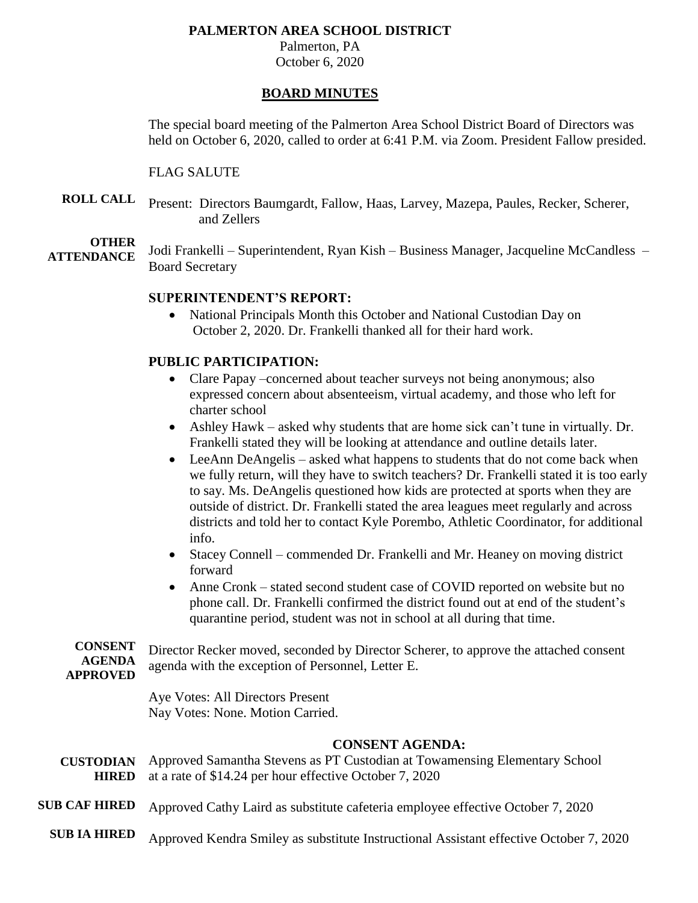## **PALMERTON AREA SCHOOL DISTRICT**

Palmerton, PA October 6, 2020

## **BOARD MINUTES**

The special board meeting of the Palmerton Area School District Board of Directors was held on October 6, 2020, called to order at 6:41 P.M. via Zoom. President Fallow presided.

## FLAG SALUTE

**ROLL CALL** Present: Directors Baumgardt, Fallow, Haas, Larvey, Mazepa, Paules, Recker, Scherer, and Zellers

**OTHER ATTENDANCE** Jodi Frankelli – Superintendent, Ryan Kish – Business Manager, Jacqueline McCandless – Board Secretary

# **SUPERINTENDENT'S REPORT:**

• National Principals Month this October and National Custodian Day on October 2, 2020. Dr. Frankelli thanked all for their hard work.

# **PUBLIC PARTICIPATION:**

- Clare Papay –concerned about teacher surveys not being anonymous; also expressed concern about absenteeism, virtual academy, and those who left for charter school
- Ashley Hawk asked why students that are home sick can't tune in virtually. Dr. Frankelli stated they will be looking at attendance and outline details later.
- LeeAnn DeAngelis asked what happens to students that do not come back when we fully return, will they have to switch teachers? Dr. Frankelli stated it is too early to say. Ms. DeAngelis questioned how kids are protected at sports when they are outside of district. Dr. Frankelli stated the area leagues meet regularly and across districts and told her to contact Kyle Porembo, Athletic Coordinator, for additional info.
- Stacey Connell commended Dr. Frankelli and Mr. Heaney on moving district forward
- Anne Cronk stated second student case of COVID reported on website but no phone call. Dr. Frankelli confirmed the district found out at end of the student's quarantine period, student was not in school at all during that time.

**CONSENT AGENDA APPROVED** Director Recker moved, seconded by Director Scherer, to approve the attached consent agenda with the exception of Personnel, Letter E.

> Aye Votes: All Directors Present Nay Votes: None. Motion Carried.

# **CONSENT AGENDA:**

- **CUSTODIAN HIRED** Approved Samantha Stevens as PT Custodian at Towamensing Elementary School at a rate of \$14.24 per hour effective October 7, 2020
- **SUB CAF HIRED** Approved Cathy Laird as substitute cafeteria employee effective October 7, 2020
	- **SUB IA HIRED** Approved Kendra Smiley as substitute Instructional Assistant effective October 7, 2020